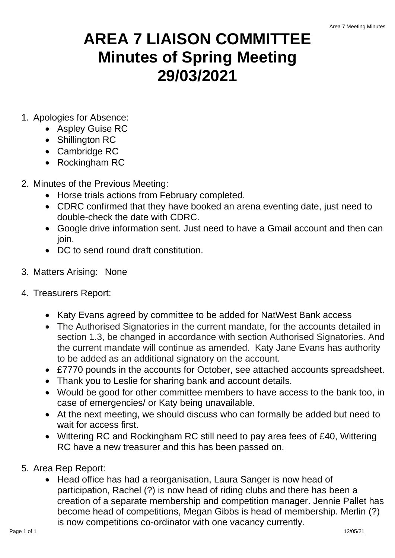## **AREA 7 LIAISON COMMITTEE Minutes of Spring Meeting 29/03/2021**

- 1. Apologies for Absence:
	- Aspley Guise RC
	- Shillington RC
	- Cambridge RC
	- Rockingham RC
- 2. Minutes of the Previous Meeting:
	- Horse trials actions from February completed.
	- CDRC confirmed that they have booked an arena eventing date, just need to double-check the date with CDRC.
	- Google drive information sent. Just need to have a Gmail account and then can join.
	- DC to send round draft constitution.
- 3. Matters Arising: None
- 4. Treasurers Report:
	- Katy Evans agreed by committee to be added for NatWest Bank access
	- The Authorised Signatories in the current mandate, for the accounts detailed in section 1.3, be changed in accordance with section Authorised Signatories. And the current mandate will continue as amended. Katy Jane Evans has authority to be added as an additional signatory on the account.
	- £7770 pounds in the accounts for October, see attached accounts spreadsheet.
	- Thank you to Leslie for sharing bank and account details.
	- Would be good for other committee members to have access to the bank too, in case of emergencies/ or Katy being unavailable.
	- At the next meeting, we should discuss who can formally be added but need to wait for access first.
	- Wittering RC and Rockingham RC still need to pay area fees of £40, Wittering RC have a new treasurer and this has been passed on.
- 5. Area Rep Report:
	- Head office has had a reorganisation, Laura Sanger is now head of participation, Rachel (?) is now head of riding clubs and there has been a creation of a separate membership and competition manager. Jennie Pallet has become head of competitions, Megan Gibbs is head of membership. Merlin (?) is now competitions co-ordinator with one vacancy currently.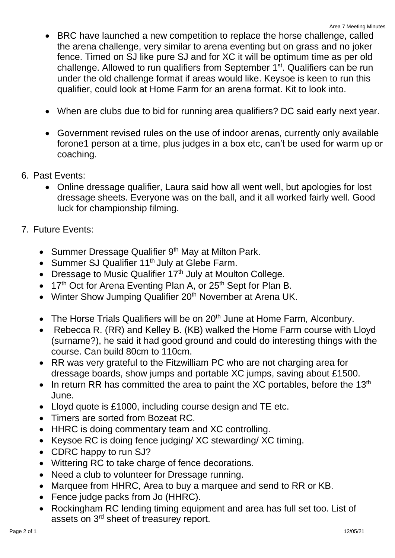- BRC have launched a new competition to replace the horse challenge, called the arena challenge, very similar to arena eventing but on grass and no joker fence. Timed on SJ like pure SJ and for XC it will be optimum time as per old challenge. Allowed to run qualifiers from September 1<sup>st</sup>. Qualifiers can be run under the old challenge format if areas would like. Keysoe is keen to run this qualifier, could look at Home Farm for an arena format. Kit to look into.
- When are clubs due to bid for running area qualifiers? DC said early next year.
- Government revised rules on the use of indoor arenas, currently only available forone1 person at a time, plus judges in a box etc, can't be used for warm up or coaching.
- 6. Past Events:
	- Online dressage qualifier, Laura said how all went well, but apologies for lost dressage sheets. Everyone was on the ball, and it all worked fairly well. Good luck for championship filming.
- 7. Future Events:
	- Summer Dressage Qualifier 9<sup>th</sup> May at Milton Park.
	- Summer SJ Qualifier 11<sup>th</sup> July at Glebe Farm.
	- Dressage to Music Qualifier 17<sup>th</sup> July at Moulton College.
	- 17<sup>th</sup> Oct for Arena Eventing Plan A, or 25<sup>th</sup> Sept for Plan B.
	- Winter Show Jumping Qualifier 20<sup>th</sup> November at Arena UK.
	- The Horse Trials Qualifiers will be on 20<sup>th</sup> June at Home Farm, Alconbury.
	- Rebecca R. (RR) and Kelley B. (KB) walked the Home Farm course with Lloyd (surname?), he said it had good ground and could do interesting things with the course. Can build 80cm to 110cm.
	- RR was very grateful to the Fitzwilliam PC who are not charging area for dressage boards, show jumps and portable XC jumps, saving about £1500.
	- In return RR has committed the area to paint the XC portables, before the  $13<sup>th</sup>$ June.
	- Lloyd quote is £1000, including course design and TE etc.
	- Timers are sorted from Bozeat RC.
	- HHRC is doing commentary team and XC controlling.
	- Keysoe RC is doing fence judging/ XC stewarding/ XC timing.
	- CDRC happy to run SJ?
	- Wittering RC to take charge of fence decorations.
	- Need a club to volunteer for Dressage running.
	- Marquee from HHRC, Area to buy a marquee and send to RR or KB.
	- Fence judge packs from Jo (HHRC).
	- Rockingham RC lending timing equipment and area has full set too. List of assets on 3rd sheet of treasurey report.